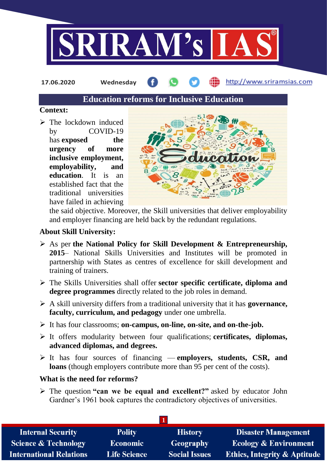

**17.06.2020 Wednesday**

http://www.sriramsias.com

# **Education reforms for Inclusive Education**

### **Context:**

 $\triangleright$  The lockdown induced by COVID-19 has **exposed** the **urgency of more inclusive employment, employability, and education**. It is an established fact that the traditional universities have failed in achieving



the said objective. Moreover, the Skill universities that deliver employability and employer financing are held back by the redundant regulations.

## **About Skill University:**

- As per **the National Policy for Skill Development & Entrepreneurship, 2015**– National Skills Universities and Institutes will be promoted in partnership with States as centres of excellence for skill development and training of trainers.
- The Skills Universities shall offer **sector specific certificate, diploma and degree programmes** directly related to the job roles in demand.
- A skill university differs from a traditional university that it has **governance, faculty, curriculum, and pedagogy** under one umbrella.
- It has four classrooms; **on-campus, on-line, on-site, and on-the-job.**
- It offers modularity between four qualifications; **certificates, diplomas, advanced diplomas, and degrees.**
- It has four sources of financing **employers, students, CSR, and loans** (though employers contribute more than 95 per cent of the costs).

# **What is the need for reforms?**

 The question **"can we be equal and excellent?"** asked by educator John Gardner's 1961 book captures the contradictory objectives of universities.

| <b>Internal Security</b>        | <b>Polity</b>       | <b>History</b>       | <b>Disaster Management</b>              |  |  |
|---------------------------------|---------------------|----------------------|-----------------------------------------|--|--|
| <b>Science &amp; Technology</b> | <b>Economic</b>     | Geography            | <b>Ecology &amp; Environment</b>        |  |  |
| <b>International Relations</b>  | <b>Life Science</b> | <b>Social Issues</b> | <b>Ethics, Integrity &amp; Aptitude</b> |  |  |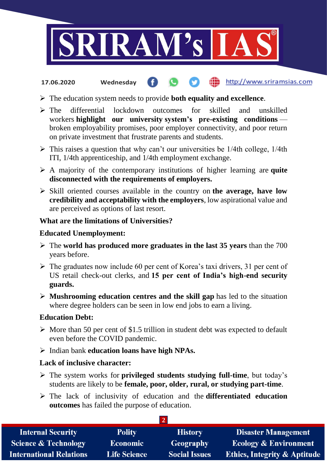

#### http://www.sriramsias.com **17.06.2020 Wednesday**

- The education system needs to provide **both equality and excellence**.
- The differential lockdown outcomes for skilled and unskilled workers **highlight our university system's pre-existing conditions** broken employability promises, poor employer connectivity, and poor return on private investment that frustrate parents and students.
- $\triangleright$  This raises a question that why can't our universities be 1/4th college, 1/4th ITI, 1/4th apprenticeship, and 1/4th employment exchange.
- A majority of the contemporary institutions of higher learning are **quite disconnected with the requirements of employers.**
- Skill oriented courses available in the country on **the average, have low credibility and acceptability with the employers**, low aspirational value and are perceived as options of last resort.

### **What are the limitations of Universities?**

### **Educated Unemployment:**

- The **world has produced more graduates in the last 35 years** than the 700 years before.
- $\triangleright$  The graduates now include 60 per cent of Korea's taxi drivers, 31 per cent of US retail check-out clerks, and **15 per cent of India's high-end security guards.**
- **Mushrooming education centres and the skill gap** has led to the situation where degree holders can be seen in low end jobs to earn a living.

### **Education Debt:**

- $\triangleright$  More than 50 per cent of \$1.5 trillion in student debt was expected to default even before the COVID pandemic.
- Indian bank **education loans have high NPAs.**

### **Lack of inclusive character:**

- The system works for **privileged students studying full-time**, but today's students are likely to be **female, poor, older, rural, or studying part-time**.
- The lack of inclusivity of education and the **differentiated education outcomes** has failed the purpose of education.

| <b>Internal Security</b>        | <b>Polity</b>       | <b>History</b>       | <b>Disaster Management</b>              |  |  |  |
|---------------------------------|---------------------|----------------------|-----------------------------------------|--|--|--|
| <b>Science &amp; Technology</b> | <b>Economic</b>     | <b>Geography</b>     | <b>Ecology &amp; Environment</b>        |  |  |  |
| <b>International Relations</b>  | <b>Life Science</b> | <b>Social Issues</b> | <b>Ethics, Integrity &amp; Aptitude</b> |  |  |  |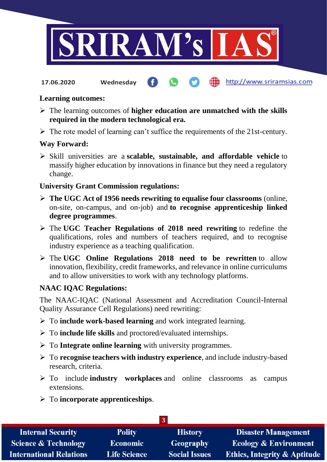

#### http://www.sriramsias.com **17.06.2020 Wednesday**

### **Learning outcomes:**

- The learning outcomes of **higher education are unmatched with the skills required in the modern technological era.**
- $\triangleright$  The rote model of learning can't suffice the requirements of the 21st-century.

### **Way Forward:**

 Skill universities are a **scalable, sustainable, and affordable vehicle** to massify higher education by innovations in finance but they need a regulatory change.

### **University Grant Commission regulations:**

- **The UGC Act of 1956 needs rewriting to equalise four classrooms** (online, on-site, on-campus, and on-job) and **to recognise apprenticeship linked degree programmes**.
- The **UGC Teacher Regulations of 2018 need rewriting** to redefine the qualifications, roles and numbers of teachers required, and to recognise industry experience as a teaching qualification.
- The **UGC Online Regulations 2018 need to be rewritten** to allow innovation, flexibility, credit frameworks, and relevance in online curriculums and to allow universities to work with any technology platforms.

### **NAAC IQAC Regulations:**

The NAAC-IQAC (National Assessment and Accreditation Council-Internal Quality Assurance Cell Regulations) need rewriting:

- To **include work-based learning** and work integrated learning.
- To **include life skills** and proctored/evaluated internships.
- To **Integrate online learning** with university programmes.
- To **recognise teachers with industry experience**, and include industry-based research, criteria.
- To include **industry workplaces** and online classrooms as campus extensions.
- To **incorporate apprenticeships**.

| <b>Internal Security</b>        | <b>Polity</b>       | <b>History</b>       | <b>Disaster Management</b>              |  |  |
|---------------------------------|---------------------|----------------------|-----------------------------------------|--|--|
| <b>Science &amp; Technology</b> | <b>Economic</b>     | <b>Geography</b>     | <b>Ecology &amp; Environment</b>        |  |  |
| <b>International Relations</b>  | <b>Life Science</b> | <b>Social Issues</b> | <b>Ethics, Integrity &amp; Aptitude</b> |  |  |